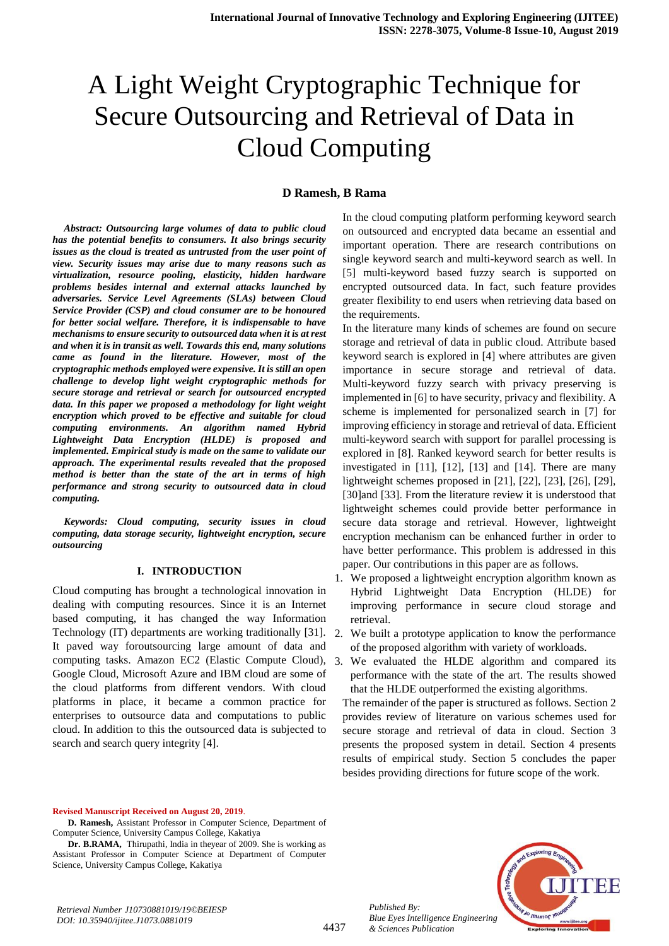# A Light Weight Cryptographic Technique for Secure Outsourcing and Retrieval of Data in Cloud Computing

### **D Ramesh, B Rama**

*Abstract: Outsourcing large volumes of data to public cloud has the potential benefits to consumers. It also brings security issues as the cloud is treated as untrusted from the user point of view. Security issues may arise due to many reasons such as virtualization, resource pooling, elasticity, hidden hardware problems besides internal and external attacks launched by adversaries. Service Level Agreements (SLAs) between Cloud Service Provider (CSP) and cloud consumer are to be honoured for better social welfare. Therefore, it is indispensable to have mechanisms to ensure security to outsourced data when it is at rest and when it is in transit as well. Towards this end, many solutions came as found in the literature. However, most of the cryptographic methods employed were expensive. It is still an open challenge to develop light weight cryptographic methods for secure storage and retrieval or search for outsourced encrypted data. In this paper we proposed a methodology for light weight encryption which proved to be effective and suitable for cloud computing environments. An algorithm named Hybrid Lightweight Data Encryption (HLDE) is proposed and implemented. Empirical study is made on the same to validate our approach. The experimental results revealed that the proposed method is better than the state of the art in terms of high performance and strong security to outsourced data in cloud computing.* 

*Keywords: Cloud computing, security issues in cloud computing, data storage security, lightweight encryption, secure outsourcing*

#### **I. INTRODUCTION**

Cloud computing has brought a technological innovation in dealing with computing resources. Since it is an Internet based computing, it has changed the way Information Technology (IT) departments are working traditionally [31]. It paved way foroutsourcing large amount of data and computing tasks. Amazon EC2 (Elastic Compute Cloud), 3. We evaluated the HLDE algorithm and compared its Google Cloud, Microsoft Azure and IBM cloud are some of the cloud platforms from different vendors. With cloud platforms in place, it became a common practice for enterprises to outsource data and computations to public cloud. In addition to this the outsourced data is subjected to search and search query integrity [4].

In the cloud computing platform performing keyword search on outsourced and encrypted data became an essential and important operation. There are research contributions on single keyword search and multi-keyword search as well. In [5] multi-keyword based fuzzy search is supported on encrypted outsourced data. In fact, such feature provides greater flexibility to end users when retrieving data based on the requirements.

In the literature many kinds of schemes are found on secure storage and retrieval of data in public cloud. Attribute based keyword search is explored in [4] where attributes are given importance in secure storage and retrieval of data. Multi-keyword fuzzy search with privacy preserving is implemented in [6] to have security, privacy and flexibility. A scheme is implemented for personalized search in [7] for improving efficiency in storage and retrieval of data. Efficient multi-keyword search with support for parallel processing is explored in [8]. Ranked keyword search for better results is investigated in [11], [12], [13] and [14]. There are many lightweight schemes proposed in [21], [22], [23], [26], [29], [30]and [33]. From the literature review it is understood that lightweight schemes could provide better performance in secure data storage and retrieval. However, lightweight encryption mechanism can be enhanced further in order to have better performance. This problem is addressed in this paper. Our contributions in this paper are as follows.

- 1. We proposed a lightweight encryption algorithm known as Hybrid Lightweight Data Encryption (HLDE) for improving performance in secure cloud storage and retrieval.
- 2. We built a prototype application to know the performance of the proposed algorithm with variety of workloads.
- performance with the state of the art. The results showed that the HLDE outperformed the existing algorithms.

The remainder of the paper is structured as follows. Section 2 provides review of literature on various schemes used for secure storage and retrieval of data in cloud. Section 3 presents the proposed system in detail. Section 4 presents results of empirical study. Section 5 concludes the paper besides providing directions for future scope of the work.

**Revised Manuscript Received on August 20, 2019**.

**D. Ramesh,** Assistant Professor in Computer Science, Department of Computer Science, University Campus College, Kakatiya

**Dr. B.RAMA,** Thirupathi, India in theyear of 2009. She is working as Assistant Professor in Computer Science at Department of Computer Science, University Campus College, Kakatiya

*Retrieval Number J10730881019/19©BEIESP DOI: 10.35940/ijitee.J1073.0881019*



4437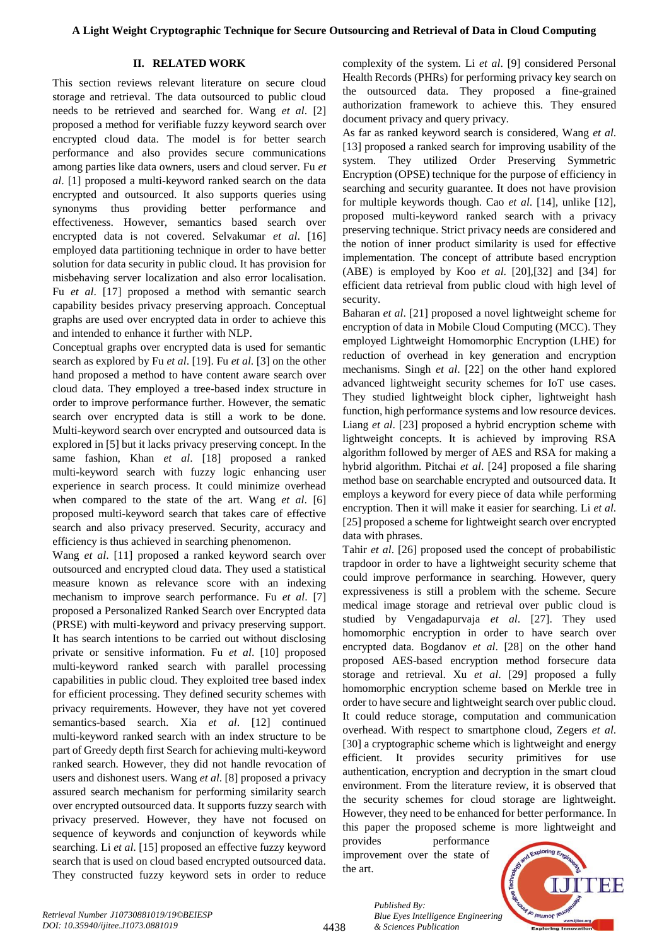### **II. RELATED WORK**

This section reviews relevant literature on secure cloud storage and retrieval. The data outsourced to public cloud needs to be retrieved and searched for. Wang *et al*. [2] proposed a method for verifiable fuzzy keyword search over encrypted cloud data. The model is for better search performance and also provides secure communications among parties like data owners, users and cloud server. Fu *et al*. [1] proposed a multi-keyword ranked search on the data encrypted and outsourced. It also supports queries using synonyms thus providing better performance and effectiveness. However, semantics based search over encrypted data is not covered. Selvakumar *et al*. [16] employed data partitioning technique in order to have better solution for data security in public cloud. It has provision for misbehaving server localization and also error localisation. Fu *et al*. [17] proposed a method with semantic search capability besides privacy preserving approach. Conceptual graphs are used over encrypted data in order to achieve this and intended to enhance it further with NLP.

Conceptual graphs over encrypted data is used for semantic search as explored by Fu *et al*. [19]. Fu *et al*. [3] on the other hand proposed a method to have content aware search over cloud data. They employed a tree-based index structure in order to improve performance further. However, the sematic search over encrypted data is still a work to be done. Multi-keyword search over encrypted and outsourced data is explored in [5] but it lacks privacy preserving concept. In the same fashion, Khan *et al*. [18] proposed a ranked multi-keyword search with fuzzy logic enhancing user experience in search process. It could minimize overhead when compared to the state of the art. Wang *et al*. [6] proposed multi-keyword search that takes care of effective search and also privacy preserved. Security, accuracy and efficiency is thus achieved in searching phenomenon.

Wang *et al*. [11] proposed a ranked keyword search over outsourced and encrypted cloud data. They used a statistical measure known as relevance score with an indexing mechanism to improve search performance. Fu *et al*. [7] proposed a Personalized Ranked Search over Encrypted data (PRSE) with multi-keyword and privacy preserving support. It has search intentions to be carried out without disclosing private or sensitive information. Fu *et al*. [10] proposed multi-keyword ranked search with parallel processing capabilities in public cloud. They exploited tree based index for efficient processing. They defined security schemes with privacy requirements. However, they have not yet covered semantics-based search. Xia *et al*. [12] continued multi-keyword ranked search with an index structure to be part of Greedy depth first Search for achieving multi-keyword ranked search. However, they did not handle revocation of users and dishonest users. Wang *et al*. [8] proposed a privacy assured search mechanism for performing similarity search over encrypted outsourced data. It supports fuzzy search with privacy preserved. However, they have not focused on sequence of keywords and conjunction of keywords while searching. Li *et al*. [15] proposed an effective fuzzy keyword search that is used on cloud based encrypted outsourced data. They constructed fuzzy keyword sets in order to reduce complexity of the system. Li *et al*. [9] considered Personal Health Records (PHRs) for performing privacy key search on the outsourced data. They proposed a fine-grained authorization framework to achieve this. They ensured document privacy and query privacy.

As far as ranked keyword search is considered, Wang *et al*. [13] proposed a ranked search for improving usability of the system. They utilized Order Preserving Symmetric Encryption (OPSE) technique for the purpose of efficiency in searching and security guarantee. It does not have provision for multiple keywords though. Cao *et al*. [14], unlike [12], proposed multi-keyword ranked search with a privacy preserving technique. Strict privacy needs are considered and the notion of inner product similarity is used for effective implementation. The concept of attribute based encryption (ABE) is employed by Koo *et al*. [20],[32] and [34] for efficient data retrieval from public cloud with high level of security.

Baharan *et al*. [21] proposed a novel lightweight scheme for encryption of data in Mobile Cloud Computing (MCC). They employed Lightweight Homomorphic Encryption (LHE) for reduction of overhead in key generation and encryption mechanisms. Singh *et al*. [22] on the other hand explored advanced lightweight security schemes for IoT use cases. They studied lightweight block cipher, lightweight hash function, high performance systems and low resource devices. Liang *et al*. [23] proposed a hybrid encryption scheme with lightweight concepts. It is achieved by improving RSA algorithm followed by merger of AES and RSA for making a hybrid algorithm. Pitchai *et al*. [24] proposed a file sharing method base on searchable encrypted and outsourced data. It employs a keyword for every piece of data while performing encryption. Then it will make it easier for searching. Li *et al*. [25] proposed a scheme for lightweight search over encrypted data with phrases.

Tahir *et al*. [26] proposed used the concept of probabilistic trapdoor in order to have a lightweight security scheme that could improve performance in searching. However, query expressiveness is still a problem with the scheme. Secure medical image storage and retrieval over public cloud is studied by Vengadapurvaja *et al*. [27]. They used homomorphic encryption in order to have search over encrypted data. Bogdanov *et al*. [28] on the other hand proposed AES-based encryption method forsecure data storage and retrieval. Xu *et al*. [29] proposed a fully homomorphic encryption scheme based on Merkle tree in order to have secure and lightweight search over public cloud. It could reduce storage, computation and communication overhead. With respect to smartphone cloud, Zegers *et al*. [30] a cryptographic scheme which is lightweight and energy efficient. It provides security primitives for use authentication, encryption and decryption in the smart cloud environment. From the literature review, it is observed that the security schemes for cloud storage are lightweight. However, they need to be enhanced for better performance. In this paper the proposed scheme is more lightweight and

provides performance improvement over the state of the art.



*Published By: Blue Eyes Intelligence Engineering & Sciences Publication*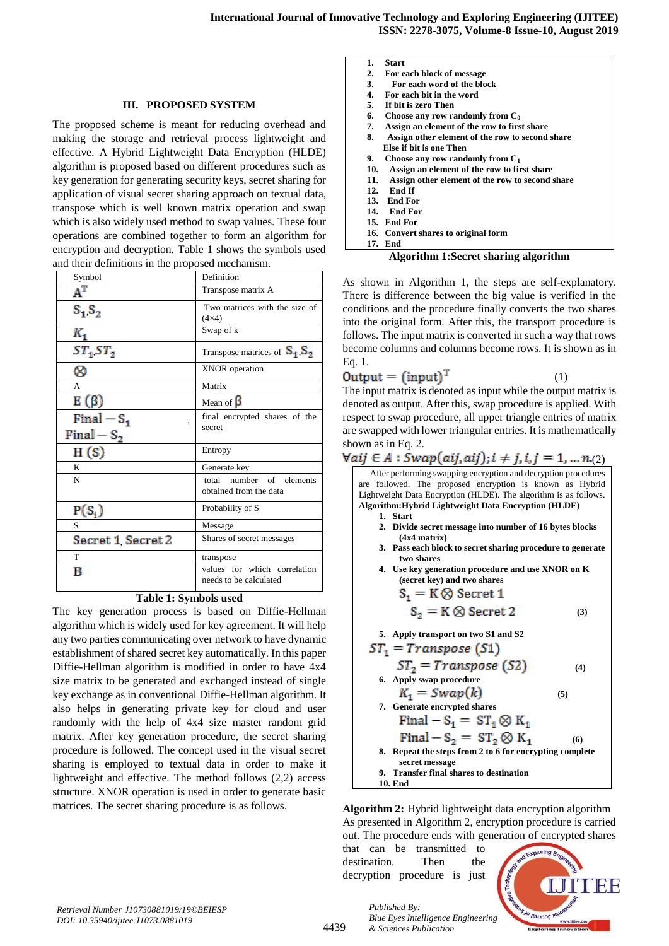#### **III. PROPOSED SYSTEM**

The proposed scheme is meant for reducing overhead and making the storage and retrieval process lightweight and effective. A Hybrid Lightweight Data Encryption (HLDE) algorithm is proposed based on different procedures such as key generation for generating security keys, secret sharing for application of visual secret sharing approach on textual data, transpose which is well known matrix operation and swap which is also widely used method to swap values. These four operations are combined together to form an algorithm for encryption and decryption. Table 1 shows the symbols used and their definitions in the proposed mechanism.

| Symbol                                   | Definition                                             |
|------------------------------------------|--------------------------------------------------------|
| $A^T$                                    | Transpose matrix A                                     |
| $S_1S_2$                                 | Two matrices with the size of<br>$(4\times4)$          |
| Κ,                                       | Swap of k                                              |
| $ST_1ST_2$                               | Transpose matrices of $S_1S_2$                         |
| ∝                                        | XNOR operation                                         |
| A                                        | Matrix                                                 |
| E $(\beta)$                              | Mean of $\beta$                                        |
| Final $-S_1$<br>$\overline{\phantom{a}}$ | final encrypted shares of the                          |
| Final – $S_2$                            | secret                                                 |
| H(S)                                     | Entropy                                                |
| K                                        | Generate key                                           |
| N                                        | total number of elements<br>obtained from the data     |
| $P(S_i)$                                 | Probability of S                                       |
| S                                        | Message                                                |
| Secret 1 Secret 2                        | Shares of secret messages                              |
| T                                        | transpose                                              |
| в                                        | values for which correlation<br>needs to be calculated |

### **Table 1: Symbols used**

The key generation process is based on Diffie-Hellman algorithm which is widely used for key agreement. It will help any two parties communicating over network to have dynamic establishment of shared secret key automatically. In this paper Diffie-Hellman algorithm is modified in order to have 4x4 size matrix to be generated and exchanged instead of single key exchange as in conventional Diffie-Hellman algorithm. It also helps in generating private key for cloud and user randomly with the help of 4x4 size master random grid matrix. After key generation procedure, the secret sharing procedure is followed. The concept used in the visual secret sharing is employed to textual data in order to make it lightweight and effective. The method follows (2,2) access structure. XNOR operation is used in order to generate basic matrices. The secret sharing procedure is as follows.

| Start |
|-------|
|       |

- **2. For each block of message**
- **3. For each word of the block**
- **4. For each bit in the word 5. If bit is zero Then**
- 
- **6. Choose any row randomly from**  $C_0$ **<br>
<b>7. Assion an element of the row to first 7. Assign an element of the row to first share**
- **8. Assign other element of the row to second share**
- **Else if bit is one Then**<br>**9.** Choose any row rand **9. Choose any row randomly from C<sup>1</sup>**
- **10. Assign an element of the row to first share**
- **11. Assign other element of the row to second share**
- **12. End If**
- **13. End For**
- **14. End For**
- **15. End For 16. Convert shares to original form**
- **17. End**

#### **Algorithm 1:Secret sharing algorithm**

As shown in Algorithm 1, the steps are self-explanatory. There is difference between the big value is verified in the conditions and the procedure finally converts the two shares into the original form. After this, the transport procedure is follows. The input matrix is converted in such a way that rows become columns and columns become rows. It is shown as in Eq. 1.

$$
Output = (input)^{T} \tag{1}
$$

The input matrix is denoted as input while the output matrix is denoted as output. After this, swap procedure is applied. With respect to swap procedure, all upper triangle entries of matrix are swapped with lower triangular entries. It is mathematically shown as in Eq. 2.

# $\forall a i j \in A : Swap(aij, a i j); i \neq j, i, j = 1, ..., n. (2)$

After performing swapping encryption and decryption procedures are followed. The proposed encryption is known as Hybrid Lightweight Data Encryption (HLDE). The algorithm is as follows. **Algorithm:Hybrid Lightweight Data Encryption (HLDE)**

- **1. Start**
- **2. Divide secret message into number of 16 bytes blocks (4x4 matrix)**
- **3. Pass each block to secret sharing procedure to generate two shares**
- **4. Use key generation procedure and use XNOR on K (secret key) and two shares**

$$
S_1 = K \otimes \text{Secret 1}
$$
  
\n
$$
S_2 = K \otimes \text{Secret 2}
$$
 (3)

**5. Apply transport on two S1 and S2**

$$
ST_1 = Transpose (S1)
$$
  
\n
$$
ST_2 = Transpose (S2)
$$
  
\n6. Apply swap procedure  
\n
$$
K_1 = Swap(k)
$$
  
\n7. Generate encrypted shares  
\nFinal – S<sub>1</sub> = ST<sub>1</sub>  $\otimes$  K<sub>1</sub>  
\nFinal – S<sub>2</sub> = ST<sub>2</sub>  $\otimes$  K<sub>1</sub> (6)

**8. Repeat the steps from 2 to 6 for encrypting complete secret message 9. Transfer final shares to destination** 

**10. End**

**Algorithm 2:** Hybrid lightweight data encryption algorithm As presented in Algorithm 2, encryption procedure is carried out. The procedure ends with generation of encrypted shares

that can be transmitted to destination. Then the decryption procedure is just

*& Sciences Publication* 

*Published By:*



*Retrieval Number J10730881019/19©BEIESP DOI: 10.35940/ijitee.J1073.0881019*

4439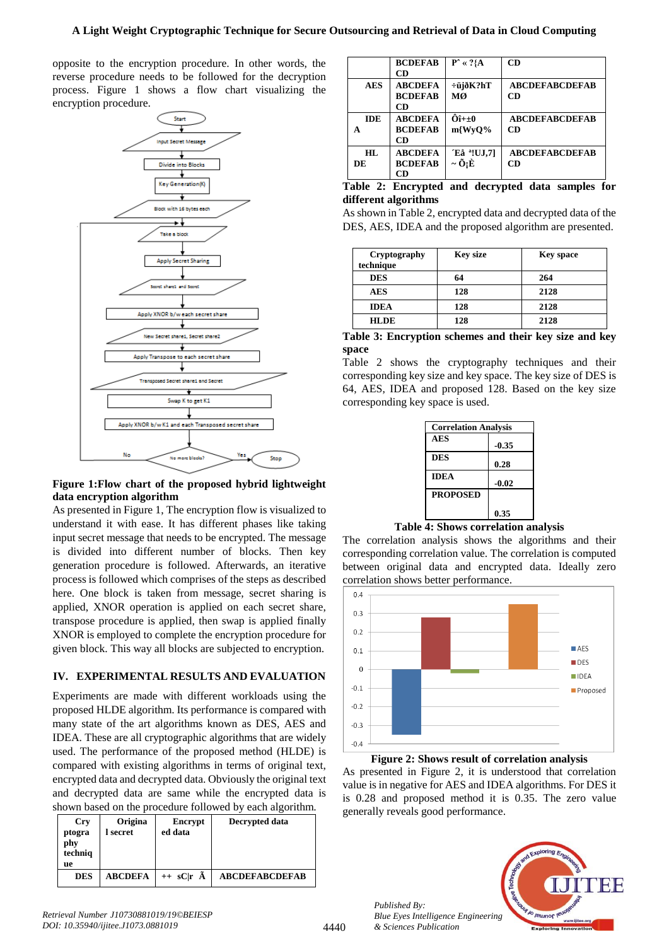## **A Light Weight Cryptographic Technique for Secure Outsourcing and Retrieval of Data in Cloud Computing**

opposite to the encryption procedure. In other words, the reverse procedure needs to be followed for the decryption process. Figure 1 shows a flow chart visualizing the encryption procedure.



**Figure 1:Flow chart of the proposed hybrid lightweight data encryption algorithm**

As presented in Figure 1, The encryption flow is visualized to understand it with ease. It has different phases like taking input secret message that needs to be encrypted. The message is divided into different number of blocks. Then key generation procedure is followed. Afterwards, an iterative process is followed which comprises of the steps as described here. One block is taken from message, secret sharing is applied, XNOR operation is applied on each secret share, transpose procedure is applied, then swap is applied finally XNOR is employed to complete the encryption procedure for given block. This way all blocks are subjected to encryption.

# **IV. EXPERIMENTAL RESULTS AND EVALUATION**

Experiments are made with different workloads using the proposed HLDE algorithm. Its performance is compared with many state of the art algorithms known as DES, AES and IDEA. These are all cryptographic algorithms that are widely used. The performance of the proposed method (HLDE) is compared with existing algorithms in terms of original text, encrypted data and decrypted data. Obviously the original text and decrypted data are same while the encrypted data is shown based on the procedure followed by each algorithm.

| <b>Cry</b><br>ptogra<br>phy<br>techniq<br>ue | Origina<br>l secret | Encrypt<br>ed data    | Decrypted data        |
|----------------------------------------------|---------------------|-----------------------|-----------------------|
| <b>DES</b>                                   | <b>ABCDEFA</b>      | $++$ sC r $\tilde{A}$ | <b>ABCDEFABCDEFAB</b> |

|            | <b>BCDEFAB</b><br><b>CD</b>            | $P^* \ll ?{A}$                                         | CD                          |
|------------|----------------------------------------|--------------------------------------------------------|-----------------------------|
| <b>AES</b> | <b>ABCDEFA</b><br><b>BCDEFAB</b><br>CD | $\div$ üjð $K?$ hT<br>МØ                               | <b>ABCDEFABCDEFAB</b><br>CD |
| <b>IDE</b> | <b>ABCDEFA</b><br><b>BCDEFAB</b><br>CD | $\hat{O}$ î+ $\pm$ 0<br>m{WyO%                         | <b>ABCDEFABCDEFAB</b><br>CD |
| HL.<br>DE  | <b>ABCDEFA</b><br><b>BCDEFAB</b><br>CD | Eå <sup>a</sup> !UJ.7]<br>$\sim \tilde{\mathbf{O}}$ :È | <b>ABCDEFABCDEFAB</b><br>CD |

|  | Table 2: Encrypted and decrypted data samples for |  |  |  |
|--|---------------------------------------------------|--|--|--|
|  | different algorithms                              |  |  |  |

As shown in Table 2, encrypted data and decrypted data of the DES, AES, IDEA and the proposed algorithm are presented.

| Cryptography<br>technique | <b>Key size</b> | <b>Key space</b> |
|---------------------------|-----------------|------------------|
| <b>DES</b>                | 64              | 264              |
| AES                       | 128             | 2128             |
| <b>IDEA</b>               | 128             | 2128             |
| <b>HLDE</b>               | 128             | 2128             |

|       | Table 3: Encryption schemes and their key size and key |  |  |  |  |
|-------|--------------------------------------------------------|--|--|--|--|
| space |                                                        |  |  |  |  |

Table 2 shows the cryptography techniques and their corresponding key size and key space. The key size of DES is 64, AES, IDEA and proposed 128. Based on the key size corresponding key space is used.

| <b>Correlation Analysis</b> |         |  |  |  |
|-----------------------------|---------|--|--|--|
| <b>AES</b>                  | $-0.35$ |  |  |  |
| <b>DES</b>                  | 0.28    |  |  |  |
| <b>IDEA</b>                 | $-0.02$ |  |  |  |
| <b>PROPOSED</b>             |         |  |  |  |
|                             | 0.35    |  |  |  |

### **Table 4: Shows correlation analysis**

The correlation analysis shows the algorithms and their corresponding correlation value. The correlation is computed between original data and encrypted data. Ideally zero correlation shows better performance.



**Figure 2: Shows result of correlation analysis**

As presented in Figure 2, it is understood that correlation value is in negative for AES and IDEA algorithms. For DES it is 0.28 and proposed method it is 0.35. The zero value generally reveals good performance.



*Published By:*

*& Sciences Publication*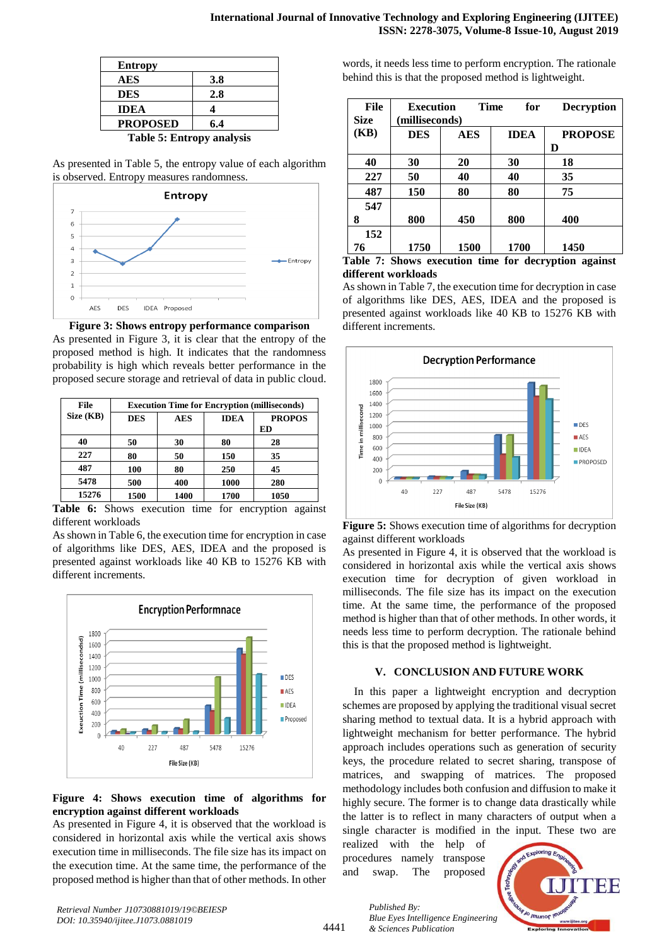| <b>Entropy</b>            |     |
|---------------------------|-----|
| AES                       | 3.8 |
| <b>DES</b>                | 2.8 |
| <b>IDEA</b>               |     |
| <b>PROPOSED</b>           | 6.4 |
| Takla E. Futuany analysis |     |

**Table 5: Entropy analysis**

As presented in Table 5, the entropy value of each algorithm is observed. Entropy measures randomness.



**Figure 3: Shows entropy performance comparison** As presented in Figure 3, it is clear that the entropy of the proposed method is high. It indicates that the randomness probability is high which reveals better performance in the proposed secure storage and retrieval of data in public cloud.

| <b>File</b> | <b>Execution Time for Encryption (milliseconds)</b> |            |             |               |  |
|-------------|-----------------------------------------------------|------------|-------------|---------------|--|
| Size (KB)   | <b>DES</b>                                          | <b>AES</b> | <b>IDEA</b> | <b>PROPOS</b> |  |
|             |                                                     |            |             | ED            |  |
| 40          | 50                                                  | 30         | 80          | 28            |  |
| 227         | 80                                                  | 50         | 150         | 35            |  |
| 487         | 100                                                 | 80         | 250         | 45            |  |
| 5478        | 500                                                 | 400        | 1000        | 280           |  |
| 15276       | 1500                                                | 1400       | 1700        | 1050          |  |

**Table 6:** Shows execution time for encryption against different workloads

As shown in Table 6, the execution time for encryption in case of algorithms like DES, AES, IDEA and the proposed is presented against workloads like 40 KB to 15276 KB with different increments.



## **Figure 4: Shows execution time of algorithms for encryption against different workloads**

As presented in Figure 4, it is observed that the workload is considered in horizontal axis while the vertical axis shows execution time in milliseconds. The file size has its impact on the execution time. At the same time, the performance of the proposed method is higher than that of other methods. In other

words, it needs less time to perform encryption. The rationale behind this is that the proposed method is lightweight.

| <b>File</b><br><b>Size</b> | <b>Execution</b><br>(milliseconds) | Time | for         | <b>Decryption</b> |
|----------------------------|------------------------------------|------|-------------|-------------------|
| (KB)                       | <b>DES</b>                         | AES  | <b>IDEA</b> | <b>PROPOSE</b>    |
|                            |                                    |      |             | D                 |
| 40                         | 30                                 | 20   | 30          | 18                |
| 227                        | 50                                 | 40   | 40          | 35                |
| 487                        | 150                                | 80   | 80          | 75                |
| 547                        |                                    |      |             |                   |
| 8                          | 800                                | 450  | 800         | 400               |
| 152                        |                                    |      |             |                   |
| 76                         | 1750                               | 1500 | 1700        | 1450              |

**Table 7: Shows execution time for decryption against different workloads**

As shown in Table 7, the execution time for decryption in case of algorithms like DES, AES, IDEA and the proposed is presented against workloads like 40 KB to 15276 KB with different increments.



**Figure 5:** Shows execution time of algorithms for decryption against different workloads

As presented in Figure 4, it is observed that the workload is considered in horizontal axis while the vertical axis shows execution time for decryption of given workload in milliseconds. The file size has its impact on the execution time. At the same time, the performance of the proposed method is higher than that of other methods. In other words, it needs less time to perform decryption. The rationale behind this is that the proposed method is lightweight.

# **V. CONCLUSION AND FUTURE WORK**

In this paper a lightweight encryption and decryption schemes are proposed by applying the traditional visual secret sharing method to textual data. It is a hybrid approach with lightweight mechanism for better performance. The hybrid approach includes operations such as generation of security keys, the procedure related to secret sharing, transpose of matrices, and swapping of matrices. The proposed methodology includes both confusion and diffusion to make it highly secure. The former is to change data drastically while the latter is to reflect in many characters of output when a single character is modified in the input. These two are

realized with the help of procedures namely transpose and swap. The proposed

*& Sciences Publication* 

*Published By:*



*Retrieval Number J10730881019/19©BEIESP DOI: 10.35940/ijitee.J1073.0881019*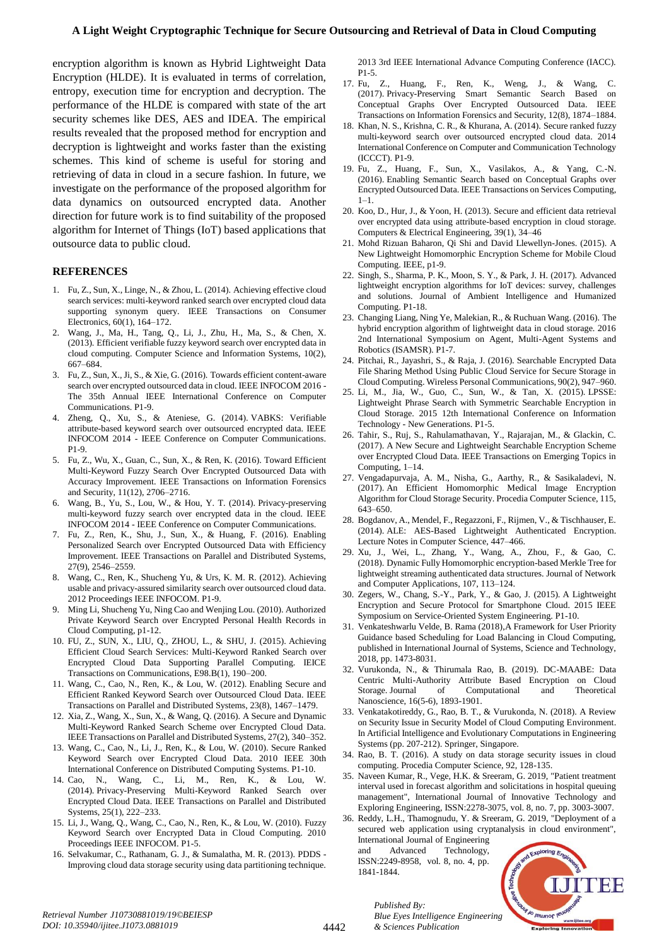encryption algorithm is known as Hybrid Lightweight Data Encryption (HLDE). It is evaluated in terms of correlation, entropy, execution time for encryption and decryption. The performance of the HLDE is compared with state of the art security schemes like DES, AES and IDEA. The empirical results revealed that the proposed method for encryption and decryption is lightweight and works faster than the existing schemes. This kind of scheme is useful for storing and retrieving of data in cloud in a secure fashion. In future, we investigate on the performance of the proposed algorithm for data dynamics on outsourced encrypted data. Another direction for future work is to find suitability of the proposed algorithm for Internet of Things (IoT) based applications that outsource data to public cloud.

### **REFERENCES**

- 1. Fu, Z., Sun, X., Linge, N., & Zhou, L. (2014). Achieving effective cloud search services: multi-keyword ranked search over encrypted cloud data supporting synonym query. IEEE Transactions on Consumer Electronics, 60(1), 164–172.
- 2. Wang, J., Ma, H., Tang, Q., Li, J., Zhu, H., Ma, S., & Chen, X. (2013). Efficient verifiable fuzzy keyword search over encrypted data in cloud computing. Computer Science and Information Systems, 10(2), 667–684.
- 3. Fu, Z., Sun, X., Ji, S., & Xie, G. (2016). Towards efficient content-aware search over encrypted outsourced data in cloud. IEEE INFOCOM 2016 - The 35th Annual IEEE International Conference on Computer Communications. P1-9.
- 4. Zheng, Q., Xu, S., & Ateniese, G. (2014). VABKS: Verifiable attribute-based keyword search over outsourced encrypted data. IEEE INFOCOM 2014 - IEEE Conference on Computer Communications. P1-9.
- 5. Fu, Z., Wu, X., Guan, C., Sun, X., & Ren, K. (2016). Toward Efficient Multi-Keyword Fuzzy Search Over Encrypted Outsourced Data with Accuracy Improvement. IEEE Transactions on Information Forensics and Security, 11(12), 2706–2716.
- 6. Wang, B., Yu, S., Lou, W., & Hou, Y. T. (2014). Privacy-preserving multi-keyword fuzzy search over encrypted data in the cloud. IEEE INFOCOM 2014 - IEEE Conference on Computer Communications.
- 7. Fu, Z., Ren, K., Shu, J., Sun, X., & Huang, F. (2016). Enabling Personalized Search over Encrypted Outsourced Data with Efficiency Improvement. IEEE Transactions on Parallel and Distributed Systems, 27(9), 2546–2559.
- 8. Wang, C., Ren, K., Shucheng Yu, & Urs, K. M. R. (2012). Achieving usable and privacy-assured similarity search over outsourced cloud data. 2012 Proceedings IEEE INFOCOM. P1-9.
- 9. Ming Li, Shucheng Yu, Ning Cao and Wenjing Lou. (2010). Authorized Private Keyword Search over Encrypted Personal Health Records in Cloud Computing, p1-12.
- 10. FU, Z., SUN, X., LIU, Q., ZHOU, L., & SHU, J. (2015). Achieving Efficient Cloud Search Services: Multi-Keyword Ranked Search over Encrypted Cloud Data Supporting Parallel Computing. IEICE Transactions on Communications, E98.B(1), 190–200.
- 11. Wang, C., Cao, N., Ren, K., & Lou, W. (2012). Enabling Secure and Efficient Ranked Keyword Search over Outsourced Cloud Data. IEEE Transactions on Parallel and Distributed Systems, 23(8), 1467–1479.
- 12. Xia, Z., Wang, X., Sun, X., & Wang, Q. (2016). A Secure and Dynamic Multi-Keyword Ranked Search Scheme over Encrypted Cloud Data. IEEE Transactions on Parallel and Distributed Systems, 27(2), 340–352.
- 13. Wang, C., Cao, N., Li, J., Ren, K., & Lou, W. (2010). Secure Ranked Keyword Search over Encrypted Cloud Data. 2010 IEEE 30th International Conference on Distributed Computing Systems. P1-10.
- 14. Cao, N., Wang, C., Li, M., Ren, K., & Lou, W. (2014). Privacy-Preserving Multi-Keyword Ranked Search over Encrypted Cloud Data. IEEE Transactions on Parallel and Distributed Systems, 25(1), 222–233.
- 15. Li, J., Wang, Q., Wang, C., Cao, N., Ren, K., & Lou, W. (2010). Fuzzy Keyword Search over Encrypted Data in Cloud Computing. 2010 Proceedings IEEE INFOCOM. P1-5.
- 16. Selvakumar, C., Rathanam, G. J., & Sumalatha, M. R. (2013). PDDS Improving cloud data storage security using data partitioning technique.

2013 3rd IEEE International Advance Computing Conference (IACC). P1-5.

- 17. Fu, Z., Huang, F., Ren, K., Weng, J., & Wang, C. (2017). Privacy-Preserving Smart Semantic Search Based on Conceptual Graphs Over Encrypted Outsourced Data. IEEE Transactions on Information Forensics and Security, 12(8), 1874–1884.
- 18. Khan, N. S., Krishna, C. R., & Khurana, A. (2014). Secure ranked fuzzy multi-keyword search over outsourced encrypted cloud data. 2014 International Conference on Computer and Communication Technology (ICCCT). P1-9.
- 19. Fu, Z., Huang, F., Sun, X., Vasilakos, A., & Yang, C.-N. (2016). Enabling Semantic Search based on Conceptual Graphs over Encrypted Outsourced Data. IEEE Transactions on Services Computing, 1–1.
- 20. Koo, D., Hur, J., & Yoon, H. (2013). Secure and efficient data retrieval over encrypted data using attribute-based encryption in cloud storage. Computers & Electrical Engineering, 39(1), 34–46
- 21. Mohd Rizuan Baharon, Qi Shi and David Llewellyn-Jones. (2015). A New Lightweight Homomorphic Encryption Scheme for Mobile Cloud Computing. IEEE, p1-9.
- 22. Singh, S., Sharma, P. K., Moon, S. Y., & Park, J. H. (2017). Advanced lightweight encryption algorithms for IoT devices: survey, challenges and solutions. Journal of Ambient Intelligence and Humanized Computing. P1-18.
- 23. Changing Liang, Ning Ye, Malekian, R., & Ruchuan Wang. (2016). The hybrid encryption algorithm of lightweight data in cloud storage. 2016 2nd International Symposium on Agent, Multi-Agent Systems and Robotics (ISAMSR). P1-7.
- 24. Pitchai, R., Jayashri, S., & Raja, J. (2016). Searchable Encrypted Data File Sharing Method Using Public Cloud Service for Secure Storage in Cloud Computing. Wireless Personal Communications, 90(2), 947–960.
- 25. Li, M., Jia, W., Guo, C., Sun, W., & Tan, X. (2015). LPSSE: Lightweight Phrase Search with Symmetric Searchable Encryption in Cloud Storage. 2015 12th International Conference on Information Technology - New Generations. P1-5.
- 26. Tahir, S., Ruj, S., Rahulamathavan, Y., Rajarajan, M., & Glackin, C. (2017). A New Secure and Lightweight Searchable Encryption Scheme over Encrypted Cloud Data. IEEE Transactions on Emerging Topics in Computing, 1–14.
- 27. Vengadapurvaja, A. M., Nisha, G., Aarthy, R., & Sasikaladevi, N. (2017). An Efficient Homomorphic Medical Image Encryption Algorithm for Cloud Storage Security. Procedia Computer Science, 115, 643–650.
- 28. Bogdanov, A., Mendel, F., Regazzoni, F., Rijmen, V., & Tischhauser, E. (2014). ALE: AES-Based Lightweight Authenticated Encryption. Lecture Notes in Computer Science, 447–466.
- 29. Xu, J., Wei, L., Zhang, Y., Wang, A., Zhou, F., & Gao, C. (2018). Dynamic Fully Homomorphic encryption-based Merkle Tree for lightweight streaming authenticated data structures. Journal of Network and Computer Applications, 107, 113–124.
- 30. Zegers, W., Chang, S.-Y., Park, Y., & Gao, J. (2015). A Lightweight Encryption and Secure Protocol for Smartphone Cloud. 2015 IEEE Symposium on Service-Oriented System Engineering. P1-10.
- 31. Venkateshwarlu Velde, B. Rama (2018),A Framework for User Priority Guidance based Scheduling for Load Balancing in Cloud Computing, published in International Journal of Systems, Science and Technology, 2018, pp. 1473-8031.
- 32. Vurukonda, N., & Thirumala Rao, B. (2019). DC-MAABE: Data Centric Multi-Authority Attribute Based Encryption on Cloud Storage. Journal of Computational and Theoretical Nanoscience, 16(5-6), 1893-1901.
- 33. Venkatakotireddy, G., Rao, B. T., & Vurukonda, N. (2018). A Review on Security Issue in Security Model of Cloud Computing Environment. In Artificial Intelligence and Evolutionary Computations in Engineering Systems (pp. 207-212). Springer, Singapore.
- 34. Rao, B. T. (2016). A study on data storage security issues in cloud computing. Procedia Computer Science, 92, 128-135.
- 35. Naveen Kumar, R., Vege, H.K. & Sreeram, G. 2019, "Patient treatment interval used in forecast algorithm and solicitations in hospital queuing management", International Journal of Innovative Technology and Exploring Engineering, ISSN:2278-3075, vol. 8, no. 7, pp. 3003-3007.
- 36. Reddy, L.H., Thamognudu, Y. & Sreeram, G. 2019, "Deployment of a secured web application using cryptanalysis in cloud environment",

International Journal of Engineering and Advanced Technology, ISSN:2249-8958, vol. 8, no. 4, pp. 1841-1844.

*Published By:*

*& Sciences Publication*